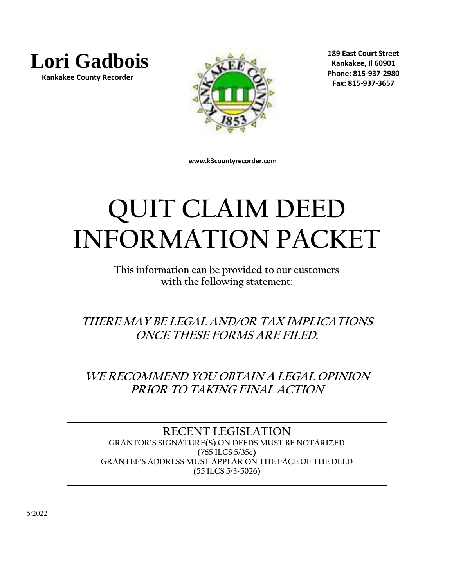

 **Kankakee County Recorder**



**189 East Court Street Kankakee, Il 60901 Phone: 815-937-2980 Fax: 815-937-3657**

 **www.k3countyrecorder.com**

# **QUIT CLAIM DEED INFORMATION PACKET**

**This information can be provided to our customers with the following statement:**

**THERE MAY BE LEGAL AND/OR TAX IMPLICATIONS ONCE THESE FORMS ARE FILED.**

**WE RECOMMEND YOU OBTAIN A LEGAL OPINION PRIOR TO TAKING FINAL ACTION**

**RECENT LEGISLATION GRANTOR'S SIGNATURE(S) ON DEEDS MUST BE NOTARIZED (765 ILCS 5/35c) GRANTEE'S ADDRESS MUST APPEAR ON THE FACE OF THE DEED (55 ILCS 5/3-5026)**

5/2022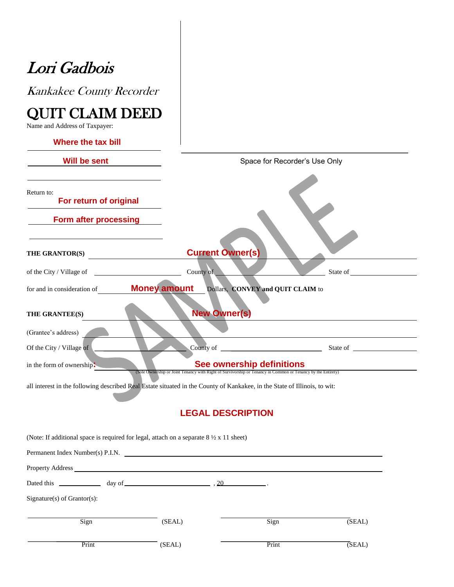# Lori Gadbois

Kankakee County Recorder

## QUIT CLAIM DEED

Name and Address of Taxpayer:

| Where the tax bill                                                                                                        |                               |                                                                                                                                           |        |  |  |
|---------------------------------------------------------------------------------------------------------------------------|-------------------------------|-------------------------------------------------------------------------------------------------------------------------------------------|--------|--|--|
| Will be sent                                                                                                              | Space for Recorder's Use Only |                                                                                                                                           |        |  |  |
| Return to:<br>For return of original                                                                                      |                               |                                                                                                                                           |        |  |  |
| Form after processing                                                                                                     |                               |                                                                                                                                           |        |  |  |
| THE GRANTOR(S)<br><u> 1990 - Jan Jawa</u>                                                                                 | <b>Current Owner(s)</b>       |                                                                                                                                           |        |  |  |
| of the City / Village of                                                                                                  | County of                     |                                                                                                                                           |        |  |  |
| for and in consideration of                                                                                               | <b>Money amount</b>           | Dollars, CONVEY and QUIT CLAIM to                                                                                                         |        |  |  |
| THE GRANTEE(S)                                                                                                            | <b>New Owner(s)</b>           |                                                                                                                                           |        |  |  |
| (Grantee's address)                                                                                                       |                               |                                                                                                                                           |        |  |  |
| Of the City / Village of                                                                                                  |                               |                                                                                                                                           |        |  |  |
| in the form of ownership.                                                                                                 |                               | See ownership definitions<br>(Sole Ownership or Joint Tenancy with Right of Survivorship or Tenancy in Common or Tenancy by the Entirety) |        |  |  |
| all interest in the following described Real Estate situated in the County of Kankakee, in the State of Illinois, to wit: |                               |                                                                                                                                           |        |  |  |
|                                                                                                                           | <b>LEGAL DESCRIPTION</b>      |                                                                                                                                           |        |  |  |
| (Note: If additional space is required for legal, attach on a separate $8\frac{1}{2} \times 11$ sheet)                    |                               |                                                                                                                                           |        |  |  |
| Permanent Index Number(s) P.I.N.                                                                                          |                               |                                                                                                                                           |        |  |  |
| Property Address_                                                                                                         |                               |                                                                                                                                           |        |  |  |
|                                                                                                                           | 20                            |                                                                                                                                           |        |  |  |
| Signature(s) of Grantor(s):                                                                                               |                               |                                                                                                                                           |        |  |  |
| Sign                                                                                                                      | (SEAL)                        | Sign                                                                                                                                      | (SEAL) |  |  |
| Print                                                                                                                     | (SEAL)                        | Print                                                                                                                                     | (SEAL) |  |  |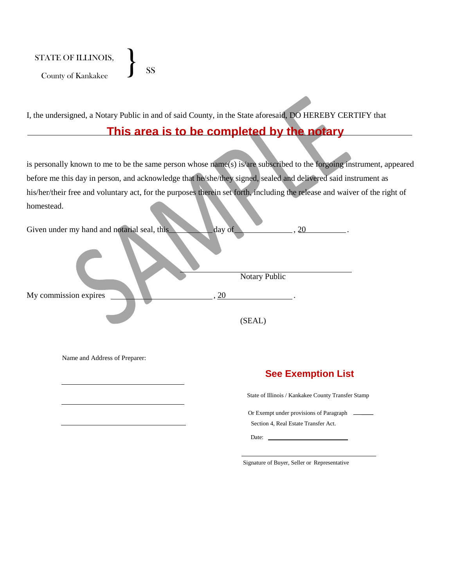STATE OF ILLINOIS, TATE OF ILLINOIS,<br>County of Kankakee SS

I, the undersigned, a Notary Public in and of said County, in the State aforesaid, DO HEREBY CERTIFY that

#### **This area is to be completed by the notary**

is personally known to me to be the same person whose name(s) is/are subscribed to the forgoing instrument, appeared before me this day in person, and acknowledge that he/she/they signed, sealed and delivered said instrument as his/her/their free and voluntary act, for the purposes therein set forth, including the release and waiver of the right of homestead.

| Given under my hand and notarial seal, this | day of        |
|---------------------------------------------|---------------|
|                                             | Notary Public |
| My commission expires                       | 20            |
|                                             | (SEAL)        |

Name and Address of Preparer:

#### **See Exemption List**

State of Illinois / Kankakee County Transfer Stamp

Or Exempt under provisions of Paragraph Section 4, Real Estate Transfer Act.

Date:

Signature of Buyer, Seller or Representative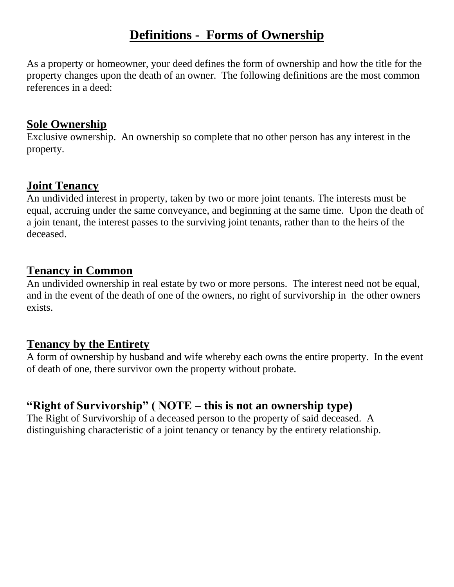## **Definitions - Forms of Ownership**

As a property or homeowner, your deed defines the form of ownership and how the title for the property changes upon the death of an owner. The following definitions are the most common references in a deed:

## **Sole Ownership**

Exclusive ownership. An ownership so complete that no other person has any interest in the property.

## **Joint Tenancy**

An undivided interest in property, taken by two or more joint tenants. The interests must be equal, accruing under the same conveyance, and beginning at the same time. Upon the death of a join tenant, the interest passes to the surviving joint tenants, rather than to the heirs of the deceased.

## **Tenancy in Common**

An undivided ownership in real estate by two or more persons. The interest need not be equal, and in the event of the death of one of the owners, no right of survivorship in the other owners exists.

## **Tenancy by the Entirety**

A form of ownership by husband and wife whereby each owns the entire property. In the event of death of one, there survivor own the property without probate.

## **"Right of Survivorship" ( NOTE – this is not an ownership type)**

The Right of Survivorship of a deceased person to the property of said deceased. A distinguishing characteristic of a joint tenancy or tenancy by the entirety relationship.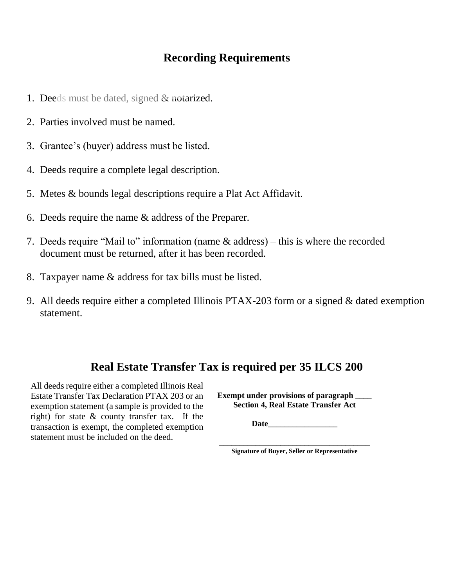## **Recording Requirements**

- 1. Deeds must be dated, signed & notarized.
- 2. Parties involved must be named.
- 3. Grantee's (buyer) address must be listed.
- 4. Deeds require a complete legal description.
- 5. Metes & bounds legal descriptions require a Plat Act Affidavit.
- 6. Deeds require the name & address of the Preparer.
- 7. Deeds require "Mail to" information (name & address) this is where the recorded document must be returned, after it has been recorded.
- 8. Taxpayer name & address for tax bills must be listed.
- 9. All deeds require either a completed Illinois PTAX-203 form or a signed & dated exemption statement.

## **Real Estate Transfer Tax is required per 35 ILCS 200**

All deeds require either a completed Illinois Real Estate Transfer Tax Declaration PTAX 203 or an exemption statement (a sample is provided to the right) for state & county transfer tax. If the transaction is exempt, the completed exemption statement must be included on the deed.

**Exempt under provisions of paragraph \_\_\_\_ Section 4, Real Estate Transfer Act**

**Date\_\_\_\_\_\_\_\_\_\_\_\_\_\_\_\_\_**

**\_\_\_\_\_\_\_\_\_\_\_\_\_\_\_\_\_\_\_\_\_\_\_\_\_\_\_\_\_\_\_\_\_\_\_\_\_ Signature of Buyer, Seller or Representative**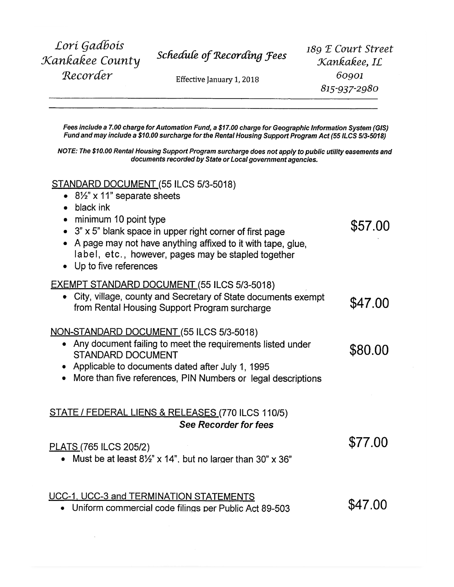Lori Gadbois Kankakee County Recorder

Schedule of Recording Fees

Effective January 1, 2018

189 E Court Street Kankakee, IL 60901 815-937-2980

\$57.00

\$77.00

Fees include a 7.00 charge for Automation Fund, a \$17.00 charge for Geographic Information System (GIS) Fund and may include a \$10.00 surcharge for the Rental Housing Support Program Act (55 ILCS 5/3-5018)

NOTE: The \$10.00 Rental Housing Support Program surcharge does not apply to public utility easements and documents recorded by State or Local government agencies.

#### STANDARD DOCUMENT (55 ILCS 5/3-5018)

- $8\frac{1}{2}$ " x 11" separate sheets
- $\bullet$  black ink
- minimum 10 point type
- $3" \times 5"$  blank space in upper right corner of first page
- A page may not have anything affixed to it with tape, glue, label, etc., however, pages may be stapled together
- Up to five references

#### **EXEMPT STANDARD DOCUMENT (55 ILCS 5/3-5018)**

• City, village, county and Secretary of State documents exempt \$47.00 from Rental Housing Support Program surcharge

#### NON-STANDARD DOCUMENT (55 ILCS 5/3-5018)

- Any document failing to meet the requirements listed under \$80.00 **STANDARD DOCUMENT**
- Applicable to documents dated after July 1, 1995
- More than five references, PIN Numbers or legal descriptions

#### STATE / FEDERAL LIENS & RELEASES (770 ILCS 110/5) **See Recorder for fees**

#### PLATS (765 ILCS 205/2)

• Must be at least  $8\frac{1}{2}$ " x 14", but no larger than  $30$ " x  $36$ "

#### UCC-1, UCC-3 and TERMINATION STATEMENTS

\$47.00 • Uniform commercial code filings per Public Act 89-503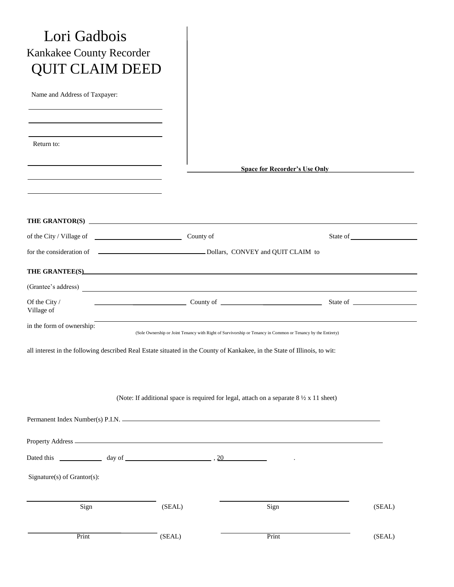| Lori Gadbois<br>Kankakee County Recorder<br><b>QUIT CLAIM DEED</b>                                                        |        |                                                                                                              |        |
|---------------------------------------------------------------------------------------------------------------------------|--------|--------------------------------------------------------------------------------------------------------------|--------|
| Name and Address of Taxpayer:                                                                                             |        |                                                                                                              |        |
| Return to:                                                                                                                |        | <b>Space for Recorder's Use Only</b>                                                                         |        |
|                                                                                                                           |        |                                                                                                              |        |
|                                                                                                                           |        |                                                                                                              |        |
|                                                                                                                           |        |                                                                                                              |        |
| (Grantee's address)                                                                                                       |        |                                                                                                              |        |
| Of the City /<br>Village of                                                                                               |        |                                                                                                              |        |
| in the form of ownership:                                                                                                 |        | (Sole Ownership or Joint Tenancy with Right of Survivorship or Tenancy in Common or Tenancy by the Entirety) |        |
| all interest in the following described Real Estate situated in the County of Kankakee, in the State of Illinois, to wit: |        | (Note: If additional space is required for legal, attach on a separate $8\frac{1}{2} \times 11$ sheet)       |        |
|                                                                                                                           |        |                                                                                                              |        |
|                                                                                                                           |        |                                                                                                              |        |
|                                                                                                                           |        |                                                                                                              |        |
| Signature(s) of Grantor(s):                                                                                               |        |                                                                                                              |        |
| Sign                                                                                                                      | (SEAL) | Sign                                                                                                         | (SEAL) |
| Print                                                                                                                     | (SEAL) | Print                                                                                                        | (SEAL) |